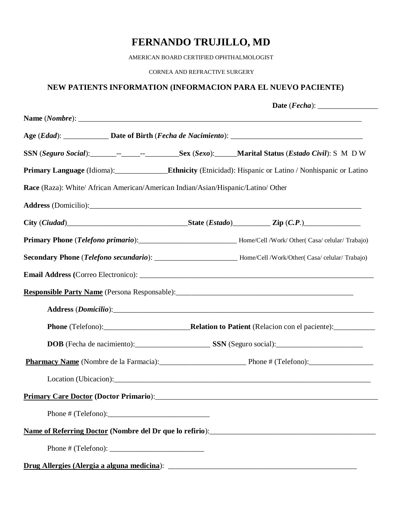# **FERNANDO TRUJILLO, MD**

AMERICAN BOARD CERTIFIED OPHTHALMOLOGIST

CORNEA AND REFRACTIVE SURGERY

## **NEW PATIENTS INFORMATION (INFORMACION PARA EL NUEVO PACIENTE)**

| SSN (Seguro Social): _______-_____________________Sex (Sexo): ______Marital Status (Estado Civil): S M D W                                                                                                                                                                                                                                                                          |                                                 |                                                                                                     |
|-------------------------------------------------------------------------------------------------------------------------------------------------------------------------------------------------------------------------------------------------------------------------------------------------------------------------------------------------------------------------------------|-------------------------------------------------|-----------------------------------------------------------------------------------------------------|
| Primary Language (Idioma): Ethnicity (Etnicidad): Hispanic or Latino / Nonhispanic or Latino                                                                                                                                                                                                                                                                                        |                                                 |                                                                                                     |
| Race (Raza): White/ African American/American Indian/Asian/Hispanic/Latino/ Other                                                                                                                                                                                                                                                                                                   |                                                 |                                                                                                     |
|                                                                                                                                                                                                                                                                                                                                                                                     |                                                 |                                                                                                     |
|                                                                                                                                                                                                                                                                                                                                                                                     |                                                 |                                                                                                     |
| Primary Phone (Telefono primario): ___________________________________Home/Cell /Work/ Other(Casa/ celular/ Trabajo)                                                                                                                                                                                                                                                                |                                                 |                                                                                                     |
| Secondary Phone (Telefono secundario): _____________________________Home/Cell /Work/Other(Casa/celular/Trabajo)                                                                                                                                                                                                                                                                     |                                                 |                                                                                                     |
|                                                                                                                                                                                                                                                                                                                                                                                     |                                                 |                                                                                                     |
| Responsible Party Name (Persona Responsable): Manual Communication of the Party Name (Persona Responsable):                                                                                                                                                                                                                                                                         |                                                 |                                                                                                     |
|                                                                                                                                                                                                                                                                                                                                                                                     |                                                 |                                                                                                     |
|                                                                                                                                                                                                                                                                                                                                                                                     |                                                 |                                                                                                     |
|                                                                                                                                                                                                                                                                                                                                                                                     | DOB (Fecha de nacimiento): SSN (Seguro social): |                                                                                                     |
|                                                                                                                                                                                                                                                                                                                                                                                     |                                                 | Pharmacy Name (Nombre de la Farmacia): Phone # (Telefono): Maximum Company (Nombre de la Farmacia): |
|                                                                                                                                                                                                                                                                                                                                                                                     |                                                 |                                                                                                     |
|                                                                                                                                                                                                                                                                                                                                                                                     |                                                 |                                                                                                     |
|                                                                                                                                                                                                                                                                                                                                                                                     |                                                 |                                                                                                     |
| Name of Referring Doctor (Nombre del Dr que lo refirio):<br>1992                                                                                                                                                                                                                                                                                                                    |                                                 |                                                                                                     |
| Phone # (Telefono): $\frac{1}{\sqrt{1-\frac{1}{2}}}\left\{ \frac{1}{2} + \frac{1}{2} \frac{1}{2} + \frac{1}{2} \frac{1}{2} + \frac{1}{2} \frac{1}{2} + \frac{1}{2} \frac{1}{2} + \frac{1}{2} \frac{1}{2} + \frac{1}{2} \frac{1}{2} + \frac{1}{2} \frac{1}{2} + \frac{1}{2} \frac{1}{2} + \frac{1}{2} \frac{1}{2} + \frac{1}{2} \frac{1}{2} + \frac{1}{2} \frac{1}{2} + \frac{1}{2}$ |                                                 |                                                                                                     |
|                                                                                                                                                                                                                                                                                                                                                                                     |                                                 |                                                                                                     |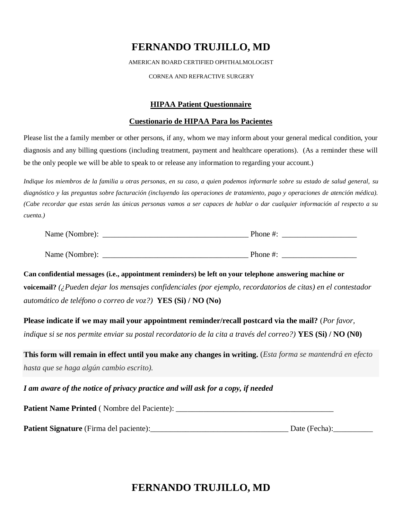## **FERNANDO TRUJILLO, MD**

AMERICAN BOARD CERTIFIED OPHTHALMOLOGIST

CORNEA AND REFRACTIVE SURGERY

## **HIPAA Patient Questionnaire**

## **Cuestionario de HIPAA Para los Pacientes**

Please list the a family member or other persons, if any, whom we may inform about your general medical condition, your diagnosis and any billing questions (including treatment, payment and healthcare operations). (As a reminder these will be the only people we will be able to speak to or release any information to regarding your account.)

*Indique los miembros de la familia u otras personas, en su caso, a quien podemos informarle sobre su estado de salud general, su diagnóstico y las preguntas sobre facturación (incluyendo las operaciones de tratamiento, pago y operaciones de atención médica). (Cabe recordar que estas serán las únicas personas vamos a ser capaces de hablar o dar cualquier información al respecto a su cuenta.)*

| Name (Nombre): | Phone #: |
|----------------|----------|
|                |          |
| Name (Nombre): | Phone #: |

**Can confidential messages (i.e., appointment reminders) be left on your telephone answering machine or voicemail?** *(¿Pueden dejar los mensajes confidenciales (por ejemplo, recordatorios de citas) en el contestador automático de teléfono o correo de voz?)* **YES (Si) / NO (No)**

**Please indicate if we may mail your appointment reminder/recall postcard via the mail?** (*Por favor, indique si se nos permite enviar su postal recordatorio de la cita a través del correo?)* **YES (Si) / NO (N0)**

**This form will remain in effect until you make any changes in writing.** (*Esta forma se mantendrá en efecto hasta que se haga algún cambio escrito).*

*I am aware of the notice of privacy practice and will ask for a copy, if needed*

**Patient Name Printed** ( Nombre del Paciente): \_\_\_\_\_\_\_\_\_\_\_\_\_\_\_\_\_\_\_\_\_\_\_\_\_\_\_\_\_\_\_\_\_\_\_

**Patient Signature** (Firma del paciente):\_\_\_\_\_\_\_\_\_\_\_\_\_\_\_\_\_\_\_\_\_\_\_\_\_\_\_\_\_\_\_\_\_\_\_ Date (Fecha):\_\_\_\_\_\_\_\_\_\_

## **FERNANDO TRUJILLO, MD**